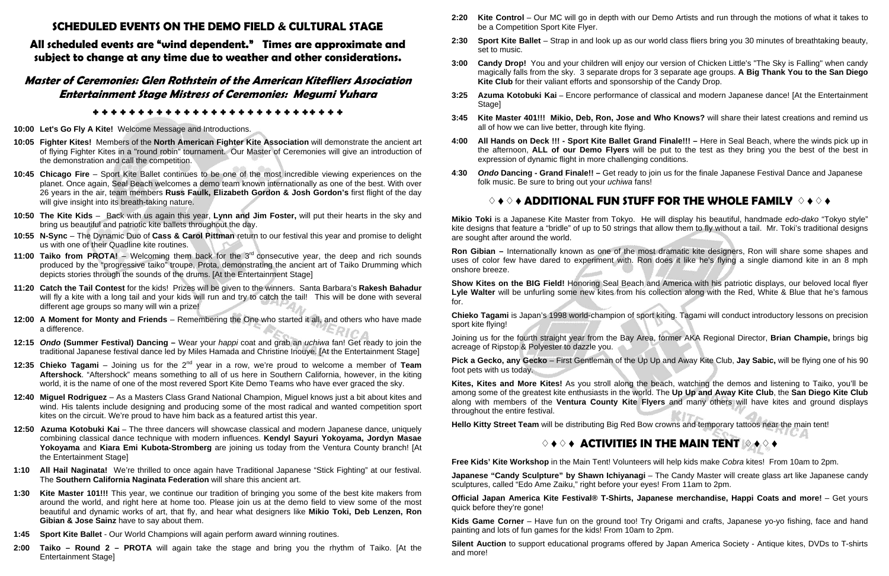### **SCHEDULED EVENTS ON THE DEMO FIELD & CULTURAL STAGE**

**All scheduled events are "wind dependent." Times are approximate and subject to change at any time due to weather and other considerations.** 

### **Master of Ceremonies: Glen Rothstein of the American Kitefliers Association Entertainment Stage Mistress of Ceremonies: Megumi Yuhara**

### ✤✤✤✤✤✤✤✤✤✤✤✤✤✤✤✤✤✤✤✤✤✤✤ ✤✤ ✤✤✤

- **10:00 Let's Go Fly A Kite!** Welcome Message and Introductions.
- **10:05 Fighter Kites!** Members of the **North American Fighter Kite Association** will demonstrate the ancient art of flying Fighter Kites in a "round robin" tournament. Our Master of Ceremonies will give an introduction of the demonstration and call the competition.
- **10:45 Chicago Fire** Sport Kite Ballet continues to be one of the most incredible viewing experiences on the planet. Once again, Seal Beach welcomes a demo team known internationally as one of the best. With over 26 years in the air, team members **Russ Faulk, Elizabeth Gordon & Josh Gordon's** first flight of the day will give insight into its breath-taking nature.
- **10:50 The Kite Kids** Back with us again this year, **Lynn and Jim Foster,** will put their hearts in the sky and bring us beautiful and patriotic kite ballets throughout the day.
- **10:55 N-Sync**  The Dynamic Duo of **Cass & Carol Pittman** return to our festival this year and promise to delight us with one of their Quadline kite routines.
- **11:00 Taiko from PROTA!** Welcoming them back for the 3rd consecutive year, the deep and rich sounds produced by the "progressive taiko" troupe, Prota, demonstrating the ancient art of Taiko Drumming which depicts stories through the sounds of the drums. [At the Entertainment Stage]
- **11:20 Catch the Tail Contest** for the kids! Prizes will be given to the winners. Santa Barbara's **Rakesh Bahadur**  will fly a kite with a long tail and your kids will run and try to catch the tail! This will be done with several different age groups so many will win a prize!
- **12:00 A Moment for Monty and Friends** Remembering the One who started it all, and others who have made a difference.
- **12:15** *Ondo* **(Summer Festival) Dancing** Wear your *happi* coat and grab an *uchiwa* fan! Get ready to join the traditional Japanese festival dance led by Miles Hamada and Christine Inouye. [At the Entertainment Stage]
- **12:35 Chieko Tagami** Joining us for the 2<sup>nd</sup> year in a row, we're proud to welcome a member of **Team Aftershock**. "Aftershock" means something to all of us here in Southern California, however, in the kiting world, it is the name of one of the most revered Sport Kite Demo Teams who have ever graced the sky.
- **12:40 Miguel Rodriguez** As a Masters Class Grand National Champion, Miguel knows just a bit about kites and wind. His talents include designing and producing some of the most radical and wanted competition sport kites on the circuit. We're proud to have him back as a featured artist this year.
- **12:50 Azuma Kotobuki Kai –** The three dancers will showcase classical and modern Japanese dance, uniquely combining classical dance technique with modern influences. **Kendyl Sayuri Yokoyama, Jordyn Masae Yokoyama** and **Kiara Emi Kubota-Stromberg** are joining us today from the Ventura County branch! [At the Entertainment Stage]
- **1:10 All Hail Naginata!** We're thrilled to once again have Traditional Japanese "Stick Fighting" at our festival. The **Southern California Naginata Federation** will share this ancient art.
- **1:30 Kite Master 101!!!** This year, we continue our tradition of bringing you some of the best kite makers from around the world, and right here at home too. Please join us at the demo field to view some of the most beautiful and dynamic works of art, that fly, and hear what designers like **Mikio Toki, Deb Lenzen, Ron Gibian & Jose Sainz** have to say about them.
- **1:45 Sport Kite Ballet**  Our World Champions will again perform award winning routines.
- **2:00 Taiko Round 2 PROTA** will again take the stage and bring you the rhythm of Taiko. [At the Entertainment Stage]

**2:20 Kite Control** – Our MC will go in depth with our Demo Artists and run through the motions of what it takes to

**2:30 Sport Kite Ballet** – Strap in and look up as our world class fliers bring you 30 minutes of breathtaking beauty,

**3:00 Candy Drop!** You and your children will enjoy our version of Chicken Little's "The Sky is Falling" when candy magically falls from the sky. 3 separate drops for 3 separate age groups. **A Big Thank You to the San Diego** 

**3:25 Azuma Kotobuki Kai –** Encore performance of classical and modern Japanese dance! [At the Entertainment

- be a Competition Sport Kite Flyer.
- set to music.
- **Kite Club** for their valiant efforts and sponsorship of the Candy Drop.
- Stage]
- all of how we can live better, through kite flying.
- expression of dynamic flight in more challenging conditions.
- folk music. Be sure to bring out your *uchiwa* fans!

**3:45 Kite Master 401!!! Mikio, Deb, Ron, Jose and Who Knows?** will share their latest creations and remind us

**4:00 All Hands on Deck !!! - Sport Kite Ballet Grand Finale!!! –** Here in Seal Beach, where the winds pick up in the afternoon, **ALL of our Demo Flyers** will be put to the test as they bring you the best of the best in

**4**:**30** *Ondo* **Dancing - Grand Finale!! –** Get ready to join us for the finale Japanese Festival Dance and Japanese

### ♢♦♢♦ **ADDITIONAL FUN STUFF FOR THE WHOLE FAMILY**  ♢♦♢♦

**Mikio Toki** is a Japanese Kite Master from Tokyo. He will display his beautiful, handmade *edo-dako* "Tokyo style" kite designs that feature a "bridle" of up to 50 strings that allow them to fly without a tail. Mr. Toki's traditional designs are sought after around the world.

**Ron Gibian –** Internationally known as one of the most dramatic kite designers, Ron will share some shapes and uses of color few have dared to experiment with. Ron does it like he's flying a single diamond kite in an 8 mph onshore breeze.

**Show Kites on the BIG Field!** Honoring Seal Beach and America with his patriotic displays, our beloved local flyer Lyle Walter will be unfurling some new kites from his collection along with the Red, White & Blue that he's famous for.

**Chieko Tagami** is Japan's 1998 world-champion of sport kiting. Tagami will conduct introductory lessons on precision sport kite flying!

Joining us for the fourth straight year from the Bay Area, former AKA Regional Director, **Brian Champie,** brings big acreage of Ripstop & Polyester to dazzle you.

**Pick a Gecko, any Gecko** – First Gentleman of the Up Up and Away Kite Club, **Jay Sabic,** will be flying one of his 90 foot pets with us today.

**Kites, Kites and More Kites!** As you stroll along the beach, watching the demos and listening to Taiko, you'll be among some of the greatest kite enthusiasts in the world. The **Up Up and Away Kite Club**, the **San Diego Kite Club**  along with members of the **Ventura County Kite Flyers** and many others will have kites and ground displays throughout the entire festival.

**Hello Kitty Street Team** will be distributing Big Red Bow crowns and temporary tattoos near the main tent!

### ♢♦♢♦ **ACTIVITIES IN THE MAIN TENT**  ♢♦♢♦

**Free Kids' Kite Workshop** in the Main Tent! Volunteers will help kids make *Cobra* kites! From 10am to 2pm.

**Japanese "Candy Sculpture" by Shawn Ichiyanagi** – The Candy Master will create glass art like Japanese candy sculptures, called "Edo Ame Zaiku," right before your eyes! From 11am to 2pm.

**Official Japan America Kite Festival® T-Shirts, Japanese merchandise, Happi Coats and more!** – Get yours quick before they're gone!

painting and lots of fun games for the kids! From 10am to 2pm.

- **Kids Game Corner** Have fun on the ground too! Try Origami and crafts, Japanese yo-yo fishing, face and hand
- **Silent Auction** to support educational programs offered by Japan America Society Antique kites, DVDs to T-shirts

and more!